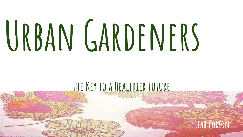# URBAN GARDENERS

### **The Key to a Healthier Future**

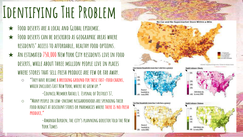## **Identifying The Problem**

- ★ **Food deserts are a local and Global epidemic.**
- ★ **Food deserts can be described as geographic areas where residents' access to affordable, healthy food options.**
- ★ **An estimated 750,000 New York City residents live in food deserts, while about three million people live in places where stores that sell fresh produce are few or far away.**
	- **"They have became a breeding ground for these fast-food chains, which includes East New York, where he grew up."**

**-Council Member Rafael L. Espinal of District 37,**

○ **"Many people in low-income neighborhoods are spending their food budget at discount stores or pharmacies where there is no fresh produce,"** 

> **-Amanda Burden, the city's planning director told the New York Times**

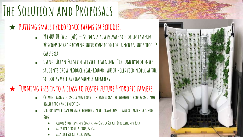### **The Solution and Proposals**

- ★ **Putting small hydroponic farms in schools.**
	- **PLYMOUTH, Wis. (AP) — Students at a private school in eastern Wisconsin are growing their own food for lunch in the school's cafeteria.**
	- USING URBAN FARM FOR SERVICE-LEARNING. THROUGH HYDROPONICS, **students grow produce year-round, which helps feed people at the school as well as community members.**

### ★ **Turning this into a class to foster future Hydropic famers**

- CREATING FARMS FORMS A NEW EDUCATION AND TURNS THE HYDROPIC SCHOOL FARMS INTO **healthy food and education**
- SCHOOLS HAVE BEGAN TO TEACH HYDROPICS IN THE CLASSROOM TO MIDDLE AND HIGH SCHOOL **Kids**
	- BEDFORD STUYVESANT NEW BEGINNINGS CHARTER SCHOOL, BROOKLYN, NEW YORK
	- **Maize High School, Wichita, Kansas**
	- **Alea High School, Alea, Hawaii**

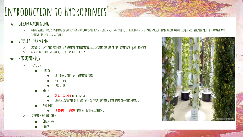### **Introduction to Hydroponics**

- ★ **Urban Gardening**
	- **urban agriculture is farming or gardening that occurs within an urban setting. Due to its environmental and spacious limitation urban farming is typically more decorative and creative the regular agriculture.**
- ★ **Vertical Farming**
	- **growing plants and produce in a vertical orientation, maximizing the use of the location's square footage**
	- **usually it produces cabbage, lettuce and leafy greens**
- ★ **hYDROPONICS**
	- **Benefits**
		- **Quilty**
			- **Cuts down on transportation costs**
			- **No Pesticides**
			- **Less Labor**
		- **SpACE**
			- **20% less space for growing**
			- CROPS GROW FASTER IN HYDROPONIC CULTURE THAN IN A SOIL BASED GROWING MEDIUM
		- **Resources**
			- **20 times less water than soil based gardening**
	- **Exception of Hydroponics**
		- **Cleaning**
		- **Clogs**

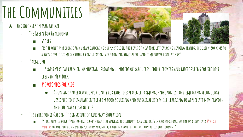### **The Communities**

- ★ **HyDROPONICS iN MANHATTAN**
	- **The Green Box Hydroponic**
		- **Stores**



- **"is the only hydroponic and urban gardening supply store in the heart of New York City carrying leading brands, The Green Box aims to always offer customers valuable consultation, a welcoming atmosphere, and competitive price points"**
- **Farm.one**
	- **Largest vertical farm in Manhattan, growing hundreds of rare herbs, edible flowers and microgreens for the best chefs in New York**
	- **HYDROPONICS FOR KIDS**
		- **A fun and interactive opportunity for kids to experience farming, hydroponics, and emerging technology. Designed to stimulate interest in food sourcing and sustainability while learning to appreciate new flavors and culinary possibilities.**
- **The Hydroponic Garden:The institute of Culinary Education** 
	- **"At ICE, we're making "farm-to-[classroom" cuisine the standard for culinary education. ICE's indoor hydroponic garden has grown](https://www.ice.edu/newyork/explore-ice/hydroponic-garden/crops) over 250 crop varieties to date, producing rare flavors from around the world in a state-of-the-art, controlled environment"**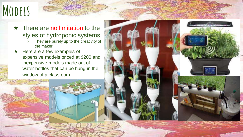### **Models**

- $\star$  There are no limitation to the styles of hydroponic systems
	- They are purely up to the creativity of the maker
- ★ Here are a few examples of expensive models priced at \$200 and inexpensive models made out of water bottles that can be hung in the window of a classroom.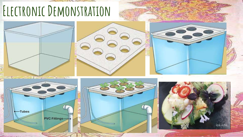### **Electronic Demonstration**

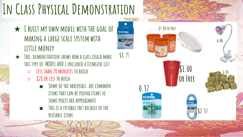### **In Class Physical Demonstration**

- ★ **I built my own model with the goal of making a large scale system with little money**
- ★ **This demonstration shows how a class could make this type of MODEL AND i included a Itemized list** 
	- **less than 20 minutes to build**
	- **\$28 or less to build** 
		- SOME OF THE MATERIALS ARE COMMON **items that can be found items so some prices are approximate**

**\$8.79**

**TOPFIN** 

■ **This is a systable fact because of the reusable items**